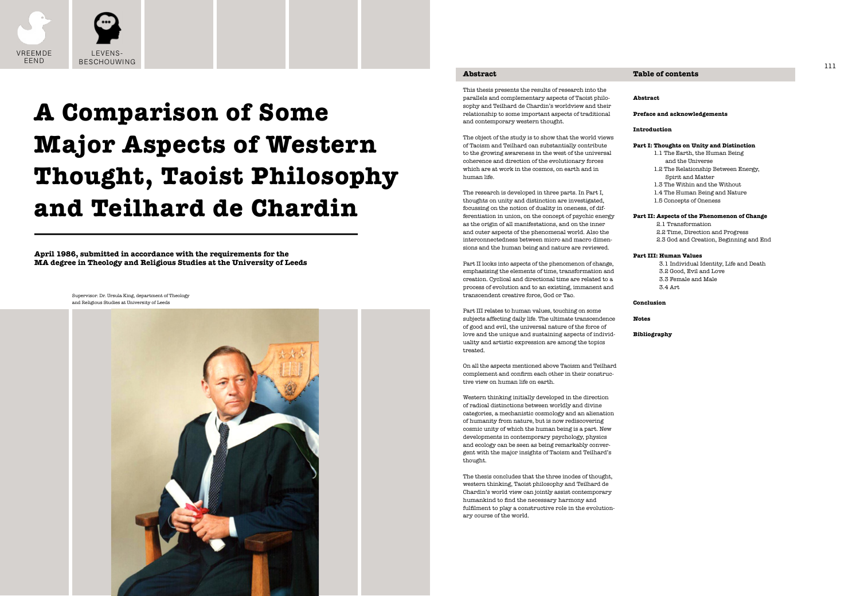# **Table of contents**

# **Abstract**

## **Preface and acknowledgements**

## **Introduction**

## **Part I: Thoughts on Unity and Distinction**

- 1.1 The Earth, the Human Being and the Universe
- 1.2 The Relationship Between Energy, Spirit and Matter
- 1.3 The Within and the Without
- 1.4 The Human Being and Nature
- 1.5 Concepts of Oneness

## **Part II: Aspects of the Phenomenon of Change**

- 2.1 Transformation
- 2.2 Time, Direction and Progress
- 2.3 God and Creation, Beginning and End

#### **Part III: Human Values**

3.1 Individual Identity, Life and Death 3.2 Good, Evil and Love 3.3 Female and Male 3.4 Art

#### **Conclusion**

### **Notes**

## **Bibliography**

## **Abstract**

This thesis presents the results of research into the parallels and complementary aspects of Taoist philosophy and Teilhard de Chardin's worldview and their relationship to some important aspects of traditional and contemporary western thought.

The object of the study is to show that the world views of Taoism and Teilhard can substantially contribute to the growing awareness in the west of the universal coherence and direction of the evolutionary forces which are at work in the cosmos, on earth and in human life.

The research is developed in three parts. In Part I, thoughts on unity and distinction are investigated, focussing on the notion of duality in oneness, of differentiation in union, on the concept of psychic energy as the origin of all manifestations, and on the inner and outer aspects of the phenomenal world. Also the interconnectedness between micro and macro dimensions and the human being and nature are reviewed.



Part II looks into aspects of the phenomenon of change, emphasising the elements of time, transformation and creation. Cyclical and directional time are related to a process of evolution and to an existing, immanent and transcendent creative force, God or Tao.

Part III relates to human values, touching on some subjects affecting daily life. The ultimate transcendence of good and evil, the universal nature of the force of love and the unique and sustaining aspects of individuality and artistic expression are among the topics treated.

On all the aspects mentioned above Taoism and Teilhard complement and confirm each other in their constructive view on human life on earth.

Western thinking initially developed in the direction of radical distinctions between worldly and divine categories, a mechanistic cosmology and an alienation of humanity from nature, but is now rediscovering cosmic unity of which the human being is a part. New developments in contemporary psychology, physics and ecology can be seen as being remarkably convergent with the major insights of Taoism and Teilhard's thought.

The thesis concludes that the three inodes of thought, western thinking, Taoist philosophy and Teilhard de Chardin's world view can jointly assist contemporary humankind to find the necessary harmony and fulfilment to play a constructive role in the evolutionary course of the world.

**April 1986, submitted in accordance with the requirements for the MA degree in Theology and Religious Studies at the University of Leeds**

# **A Comparison of Some Major Aspects of Western Thought, Taoist Philosophy and Teilhard de Chardin**

Supervisor: Dr. Ursula King, department of Theology and Religious Studies at University of Leeds

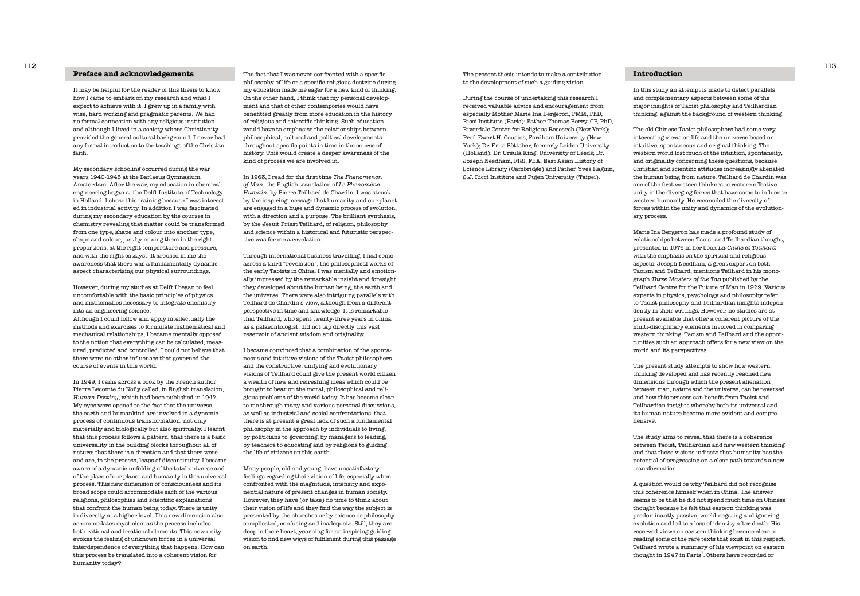# **Introduction**

In this study an attempt is made to detect parallels and complementary aspects between some of the major insights of Taoist philosophy and Teilhardian thinking, against the background of western thinking.

The old Chinese Taoist philosophers had some very interesting views on life and the universe based on intuitive, spontaneous and original thinking. The western world lost much of the intuition, spontaneity, and originality concerning these questions, because Christian and scientific attitudes increasingly alienated the human being from nature. Teilhard de Chardin was one of the first western thinkers to restore effective unity in the diverging forces that have come to influence western humanity. He reconciled the diversity of forces within the unity and dynamics of the evolutionary process.

A question would be why Teilhard did not recognise this coherence himself when in China. The answer seems to be that he did not spend much time on Chinese thought because he felt that eastern thinking was predominantly passive, world-negating and ignoring evolution and led to a loss of identity after death. His reserved views on eastern thinking become clear in reading some of the rare texts that exist in this respect. Teilhard wrote a summary of his viewpoint on eastern thought in 1947 in Paris<sup>1</sup>. Others have recorded or

Marie Ina Bergeron has made a profound study of relationships between Taoist and Teilhardian thought, presented in 1976 in her book *La Chine et Teilhard* with the emphasis on the spiritual and religious aspects. Joseph Needham, a great expert on both Taoism and Teilhard, mentions Teilhard in his monograph *Three Masters of the Tao* published by the Teilhard Centre for the Future of Man in 1979. Various experts in physics, psychology and philosophy refer to Taoist philosophy and Teilhardian insights independently in their writings. However, no studies are at present available that offer a coherent picture of the multi-disciplinary elements involved in comparing western thinking, Taoism and Teilhard and the opportunities such an approach offers for a new view on the world and its perspectives.

The present study attempts to show how western thinking developed and has recently reached new dimensions through which the present alienation between man, nature and the universe, can be reversed and how this process can benefit from Taoist and Teilhardian insights whereby both its universal and its human nature become more evident and comprehensive.

The study aims to reveal that there is a coherence between Taoist, Teilhardian and new western thinking and that these visions indicate that humanity has the potential of progressing on a clear path towards a new transformation.

The present thesis intends to make a contribution

to the development of such a guiding vision.

During the course of undertaking this research I received valuable advice and encouragement from especially Mother Marie Ina Bergeron, FMM, PhD, Ricci Institute (Paris); Father Thomas Berry, CP, PhD, Riverdale Center for Religious Research (New York); Prof. Ewert H. Cousins, Fordham University (New York); Dr. Frits Böttcher, formerly Leiden University (Holland); Dr. Ursula King, University of Leeds; Dr. Joseph Needham, FRS, FBA, East Asian History of Science Library (Cambridge) and Father Yves Raguin, S.J. Ricci Institute and Fujen University (Taipei).

The fact that I was never confronted with a specific philosophy of life or a specific religious doctrine during my education made me eager for a new kind of thinking. On the other hand, I think that my personal development and that of other contempories would have benefitted greatly from more education in the history of religious and scientific thinking. Such education would have to emphasise the relationships between philosophical, cultural and political developments throughout specific points in time in the course of history. This would create a deeper awareness of the kind of process we are involved in.

In 1963, I read for the first time *The Phenomenon of Man*, the English translation of *Le Phenomène Humain*, by Pierre Teilhard de Chardin. I was struck by the inspiring message that humanity and our planet are engaged in a huge and dynamic process of evolution, with a direction and a purpose. The brilliant synthesis, by the Jesuit Priest Teilhard, of religion, philosophy and science within a historical and futuristic perspective was for me a revelation.

Through international business travelling, I had come across a third "revelation", the philosophical works of the early Taoists in China. I was mentally and emotionally impressed by the remarkable insight and foresight they developed about the human being, the earth and the universe. There were also intriguing parallels with Teilhard de Chardin's view, although from a different perspective in time and knowledge. It is remarkable that Teilhard, who spent twenty-three years in China as a palaeontologist, did not tap directly this vast reservoir of ancient wisdom and originality.

I became convinced that a combination of the spontaneous and intuitive visions of the Taoist philosophers and the constructive, unifying and evolutionary visions of Teilhard could give the present world citizen a wealth of new and refreshing ideas which could be brought to bear on the moral, philosophical and religious problems of the world today. It has become clear to me through many and various personal discussions, as well as industrial and social confrontations, that there is at present a great lack of such a fundamental philosophy in the approach by individuals to living, by politicians to governing, by managers to leading, by teachers to educating and by religions to guiding the life of citizens on this earth.

Many people, old and young, have unsatisfactory feelings regarding their vision of life, especially when confronted with the magnitude, intensity and exponential nature of present changes in human society. However, they have (or take) no time to think about their vision of life and they find the way the subject is presented by the churches or by science or philosophy complicated, confusing and inadequate. Still, they are, deep in their heart, yearning for an inspiring guiding vision to find new ways of fulfilment during this passage on earth.

## **Preface and acknowledgements**

It may be helpful for the reader of this thesis to know how I came to embark on my research and what I expect to achieve with it. I grew up in a family with wise, hard working and pragmatic parents. We had no formal connection with any religious institution and although I lived in a society where Christianity provided the general cultural background, I never had any formal introduction to the teachings of the Christian faith.

My secondary schooling occurred during the war years 1940-1945 at the Barlaeus Gymnasium, Amsterdam. After the war, my education in chemical engineering began at the Delft Institute of Technology in Holland. I chose this training because I was interested in industrial activity. In addition I was fascinated during my secondary education by the courses in chemistry revealing that matter could be transformed from one type, shape and colour into another type, shape and colour, just by mixing them in the right proportions, at the right temperature and pressure, and with the right catalyst. It aroused in me the awareness that there was a fundamentally dynamic aspect characterising our physical surroundings.

However, during my studies at Delft I began to feel uncomfortable with the basic principles of physics and mathematics necessary to integrate chemistry into an engineering science.

Although I could follow and apply intellectually the methods and exercises to formulate mathematical and mechanical relationships, I became mentally opposed to the notion that everything can be calculated, measured, predicted and controlled. I could not believe that there were no other influences that governed the course of events in this world.

In 1949, I came across a book by the French author Pierre Lecomte du Noüy called, in English translation, *Human Destiny*, which had been published in 1947. My eyes were opened to the fact that the universe, the earth and humankind are involved in a dynamic process of continuous transformation, not only materially and biologically but also spiritually. I learnt that this process follows a pattern, that there is a basic universality in the building blocks throughout all of nature; that there is a direction and that there were and are, in the process, leaps of discontinuity. I became aware of a dynamic unfolding of the total universe and of the place of our planet and humanity in this universal process. This new dimension of consciousness and its broad scope could accommodate each of the various religions, philosophies and scientific explanations that confront the human being today. There is unity in diversity at a higher level. This new dimension also accommodates mysticism as the process includes both rational and irrational elements. This new unity evokes the feeling of unknown forces in a universal interdependence of everything that happens. How can this process be translated into a coherent vision for humanity today?